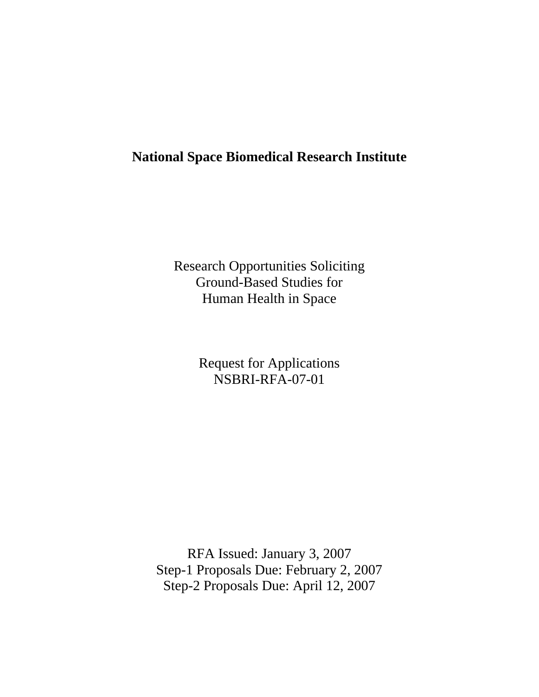# **National Space Biomedical Research Institute**

Research Opportunities Soliciting Ground-Based Studies for Human Health in Space

> Request for Applications NSBRI-RFA-07-01

RFA Issued: January 3, 2007 Step-1 Proposals Due: February 2, 2007 Step-2 Proposals Due: April 12, 2007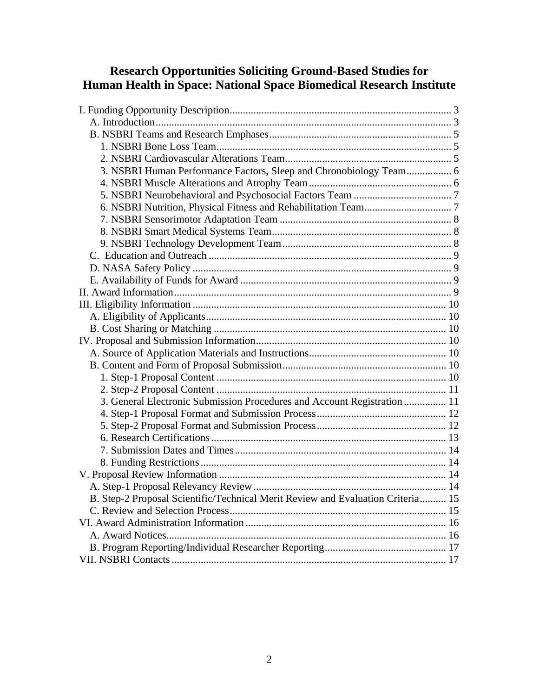# **Research Opportunities Soliciting Ground-Based Studies for Human Health in Space: National Space Biomedical Research Institute**

| 3. NSBRI Human Performance Factors, Sleep and Chronobiology Team 6              |  |
|---------------------------------------------------------------------------------|--|
|                                                                                 |  |
|                                                                                 |  |
|                                                                                 |  |
|                                                                                 |  |
|                                                                                 |  |
|                                                                                 |  |
|                                                                                 |  |
|                                                                                 |  |
|                                                                                 |  |
|                                                                                 |  |
|                                                                                 |  |
|                                                                                 |  |
|                                                                                 |  |
|                                                                                 |  |
|                                                                                 |  |
|                                                                                 |  |
|                                                                                 |  |
|                                                                                 |  |
| 3. General Electronic Submission Procedures and Account Registration  11        |  |
|                                                                                 |  |
|                                                                                 |  |
|                                                                                 |  |
|                                                                                 |  |
|                                                                                 |  |
|                                                                                 |  |
|                                                                                 |  |
| B. Step-2 Proposal Scientific/Technical Merit Review and Evaluation Criteria 15 |  |
|                                                                                 |  |
|                                                                                 |  |
|                                                                                 |  |
|                                                                                 |  |
|                                                                                 |  |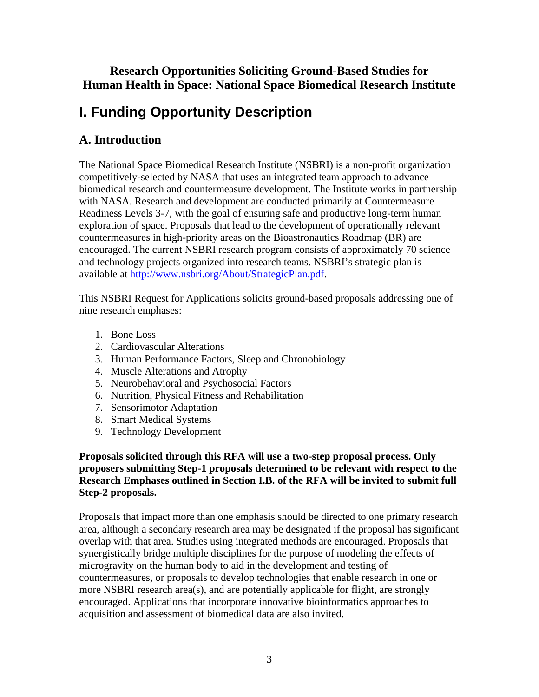## **Research Opportunities Soliciting Ground-Based Studies for Human Health in Space: National Space Biomedical Research Institute**

# **I. Funding Opportunity Description**

# **A. Introduction**

The National Space Biomedical Research Institute (NSBRI) is a non-profit organization competitively-selected by NASA that uses an integrated team approach to advance biomedical research and countermeasure development. The Institute works in partnership with NASA. Research and development are conducted primarily at Countermeasure Readiness Levels 3-7, with the goal of ensuring safe and productive long-term human exploration of space. Proposals that lead to the development of operationally relevant countermeasures in high-priority areas on the Bioastronautics Roadmap (BR) are encouraged. The current NSBRI research program consists of approximately 70 science and technology projects organized into research teams. NSBRI's strategic plan is available at<http://www.nsbri.org/About/StrategicPlan.pdf>.

This NSBRI Request for Applications solicits ground-based proposals addressing one of nine research emphases:

- 1. Bone Loss
- 2. Cardiovascular Alterations
- 3. Human Performance Factors, Sleep and Chronobiology
- 4. Muscle Alterations and Atrophy
- 5. Neurobehavioral and Psychosocial Factors
- 6. Nutrition, Physical Fitness and Rehabilitation
- 7. Sensorimotor Adaptation
- 8. Smart Medical Systems
- 9. Technology Development

#### **Proposals solicited through this RFA will use a two-step proposal process. Only proposers submitting Step-1 proposals determined to be relevant with respect to the Research Emphases outlined in Section I.B. of the RFA will be invited to submit full Step-2 proposals.**

Proposals that impact more than one emphasis should be directed to one primary research area, although a secondary research area may be designated if the proposal has significant overlap with that area. Studies using integrated methods are encouraged. Proposals that synergistically bridge multiple disciplines for the purpose of modeling the effects of microgravity on the human body to aid in the development and testing of countermeasures, or proposals to develop technologies that enable research in one or more NSBRI research area(s), and are potentially applicable for flight, are strongly encouraged. Applications that incorporate innovative bioinformatics approaches to acquisition and assessment of biomedical data are also invited.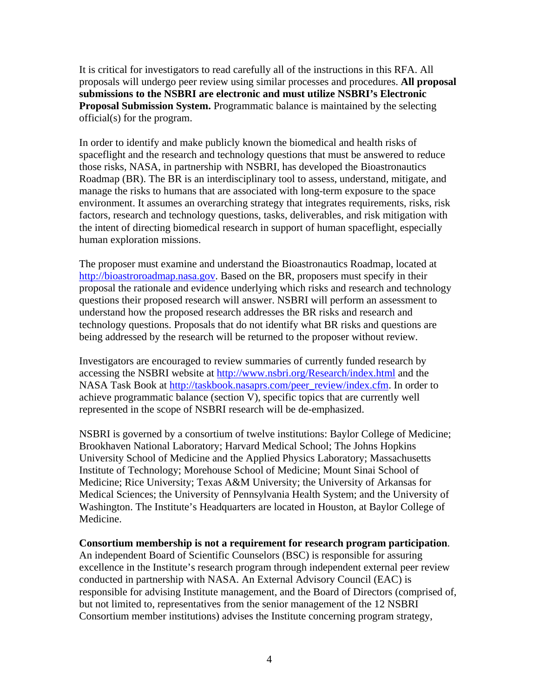It is critical for investigators to read carefully all of the instructions in this RFA. All proposals will undergo peer review using similar processes and procedures. **All proposal submissions to the NSBRI are electronic and must utilize NSBRI's Electronic Proposal Submission System.** Programmatic balance is maintained by the selecting official(s) for the program.

In order to identify and make publicly known the biomedical and health risks of spaceflight and the research and technology questions that must be answered to reduce those risks, NASA, in partnership with NSBRI, has developed the Bioastronautics Roadmap (BR). The BR is an interdisciplinary tool to assess, understand, mitigate, and manage the risks to humans that are associated with long-term exposure to the space environment. It assumes an overarching strategy that integrates requirements, risks, risk factors, research and technology questions, tasks, deliverables, and risk mitigation with the intent of directing biomedical research in support of human spaceflight, especially human exploration missions.

The proposer must examine and understand the Bioastronautics Roadmap, located at [http://bioastroroadmap.nasa.gov.](http://bioastroroadmap.nasa.gov) Based on the BR, proposers must specify in their proposal the rationale and evidence underlying which risks and research and technology questions their proposed research will answer. NSBRI will perform an assessment to understand how the proposed research addresses the BR risks and research and technology questions. Proposals that do not identify what BR risks and questions are being addressed by the research will be returned to the proposer without review.

Investigators are encouraged to review summaries of currently funded research by accessing the NSBRI website at<http://www.nsbri.org/Research/index.html>and the NASA Task Book at [http://taskbook.nasaprs.com/peer\\_review/index.cfm.](http://taskbook.nasaprs.com/peer_review/index.cfm) In order to achieve programmatic balance (section V), specific topics that are currently well represented in the scope of NSBRI research will be de-emphasized.

NSBRI is governed by a consortium of twelve institutions: Baylor College of Medicine; Brookhaven National Laboratory; Harvard Medical School; The Johns Hopkins University School of Medicine and the Applied Physics Laboratory; Massachusetts Institute of Technology; Morehouse School of Medicine; Mount Sinai School of Medicine; Rice University; Texas A&M University; the University of Arkansas for Medical Sciences; the University of Pennsylvania Health System; and the University of Washington. The Institute's Headquarters are located in Houston, at Baylor College of Medicine.

#### **Consortium membership is not a requirement for research program participation**.

An independent Board of Scientific Counselors (BSC) is responsible for assuring excellence in the Institute's research program through independent external peer review conducted in partnership with NASA. An External Advisory Council (EAC) is responsible for advising Institute management, and the Board of Directors (comprised of, but not limited to, representatives from the senior management of the 12 NSBRI Consortium member institutions) advises the Institute concerning program strategy,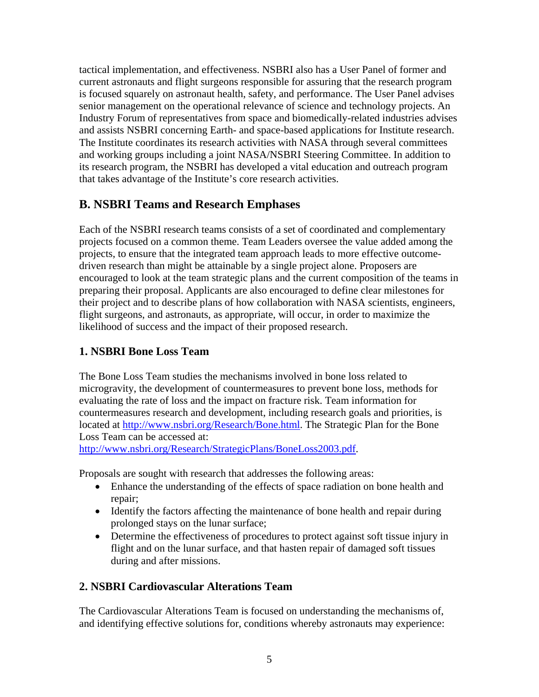tactical implementation, and effectiveness. NSBRI also has a User Panel of former and current astronauts and flight surgeons responsible for assuring that the research program is focused squarely on astronaut health, safety, and performance. The User Panel advises senior management on the operational relevance of science and technology projects. An Industry Forum of representatives from space and biomedically-related industries advises and assists NSBRI concerning Earth- and space-based applications for Institute research. The Institute coordinates its research activities with NASA through several committees and working groups including a joint NASA/NSBRI Steering Committee. In addition to its research program, the NSBRI has developed a vital education and outreach program that takes advantage of the Institute's core research activities.

## **B. NSBRI Teams and Research Emphases**

Each of the NSBRI research teams consists of a set of coordinated and complementary projects focused on a common theme. Team Leaders oversee the value added among the projects, to ensure that the integrated team approach leads to more effective outcomedriven research than might be attainable by a single project alone. Proposers are encouraged to look at the team strategic plans and the current composition of the teams in preparing their proposal. Applicants are also encouraged to define clear milestones for their project and to describe plans of how collaboration with NASA scientists, engineers, flight surgeons, and astronauts, as appropriate, will occur, in order to maximize the likelihood of success and the impact of their proposed research.

### **1. NSBRI Bone Loss Team**

The Bone Loss Team studies the mechanisms involved in bone loss related to microgravity, the development of countermeasures to prevent bone loss, methods for evaluating the rate of loss and the impact on fracture risk. Team information for countermeasures research and development, including research goals and priorities, is located at [http://www.nsbri.org/Research/Bone.html.](http://www.nsbri.org/Research/Bone.html) The Strategic Plan for the Bone Loss Team can be accessed at:

<http://www.nsbri.org/Research/StrategicPlans/BoneLoss2003.pdf>.

Proposals are sought with research that addresses the following areas:

- Enhance the understanding of the effects of space radiation on bone health and repair;
- Identify the factors affecting the maintenance of bone health and repair during prolonged stays on the lunar surface;
- Determine the effectiveness of procedures to protect against soft tissue injury in flight and on the lunar surface, and that hasten repair of damaged soft tissues during and after missions.

### **2. NSBRI Cardiovascular Alterations Team**

The Cardiovascular Alterations Team is focused on understanding the mechanisms of, and identifying effective solutions for, conditions whereby astronauts may experience: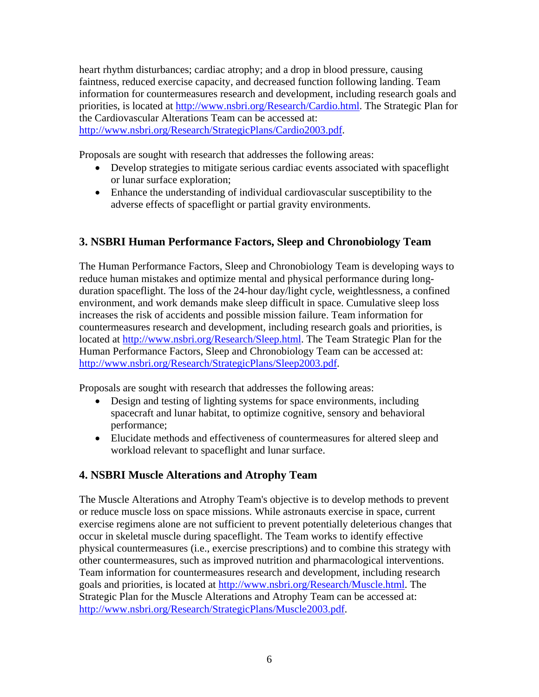heart rhythm disturbances; cardiac atrophy; and a drop in blood pressure, causing faintness, reduced exercise capacity, and decreased function following landing. Team information for countermeasures research and development, including research goals and priorities, is located at<http://www.nsbri.org/Research/Cardio.html>. The Strategic Plan for the Cardiovascular Alterations Team can be accessed at: [http://www.nsbri.org/Research/StrategicPlans/Cardio2003.pdf.](http://www.nsbri.org/Research/StrategicPlans/Cardio2003.pdf)

Proposals are sought with research that addresses the following areas:

- Develop strategies to mitigate serious cardiac events associated with spaceflight or lunar surface exploration;
- Enhance the understanding of individual cardiovascular susceptibility to the adverse effects of spaceflight or partial gravity environments.

### **3. NSBRI Human Performance Factors, Sleep and Chronobiology Team**

The Human Performance Factors, Sleep and Chronobiology Team is developing ways to reduce human mistakes and optimize mental and physical performance during longduration spaceflight. The loss of the 24-hour day/light cycle, weightlessness, a confined environment, and work demands make sleep difficult in space. Cumulative sleep loss increases the risk of accidents and possible mission failure. Team information for countermeasures research and development, including research goals and priorities, is located at<http://www.nsbri.org/Research/Sleep.html>. The Team Strategic Plan for the Human Performance Factors, Sleep and Chronobiology Team can be accessed at: [http://www.nsbri.org/Research/StrategicPlans/Sleep2003.pdf.](http://www.nsbri.org/Research/StrategicPlans/Sleep2003.pdf)

Proposals are sought with research that addresses the following areas:

- Design and testing of lighting systems for space environments, including spacecraft and lunar habitat, to optimize cognitive, sensory and behavioral performance;
- Elucidate methods and effectiveness of countermeasures for altered sleep and workload relevant to spaceflight and lunar surface.

### **4. NSBRI Muscle Alterations and Atrophy Team**

The Muscle Alterations and Atrophy Team's objective is to develop methods to prevent or reduce muscle loss on space missions. While astronauts exercise in space, current exercise regimens alone are not sufficient to prevent potentially deleterious changes that occur in skeletal muscle during spaceflight. The Team works to identify effective physical countermeasures (i.e., exercise prescriptions) and to combine this strategy with other countermeasures, such as improved nutrition and pharmacological interventions. Team information for countermeasures research and development, including research goals and priorities, is located at [http://www.nsbri.org/Research/Muscle.html.](http://www.nsbri.org/Research/Muscle.html) The Strategic Plan for the Muscle Alterations and Atrophy Team can be accessed at: [http://www.nsbri.org/Research/StrategicPlans/Muscle2003.pdf.](http://www.nsbri.org/Research/StrategicPlans/Muscle2003.pdf)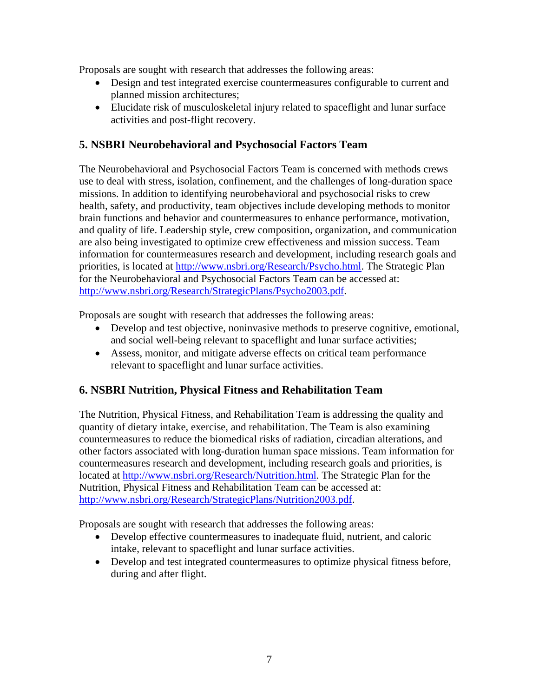Proposals are sought with research that addresses the following areas:

- Design and test integrated exercise countermeasures configurable to current and planned mission architectures;
- Elucidate risk of musculoskeletal injury related to spaceflight and lunar surface activities and post-flight recovery.

### **5. NSBRI Neurobehavioral and Psychosocial Factors Team**

The Neurobehavioral and Psychosocial Factors Team is concerned with methods crews use to deal with stress, isolation, confinement, and the challenges of long-duration space missions. In addition to identifying neurobehavioral and psychosocial risks to crew health, safety, and productivity, team objectives include developing methods to monitor brain functions and behavior and countermeasures to enhance performance, motivation, and quality of life. Leadership style, crew composition, organization, and communication are also being investigated to optimize crew effectiveness and mission success. Team information for countermeasures research and development, including research goals and priorities, is located at [http://www.nsbri.org/Research/Psycho.html.](http://www.nsbri.org/Research/Psycho.html) The Strategic Plan for the Neurobehavioral and Psychosocial Factors Team can be accessed at: [http://www.nsbri.org/Research/StrategicPlans/Psycho2003.pdf.](http://www.nsbri.org/Research/StrategicPlans/Psycho2003.pdf)

Proposals are sought with research that addresses the following areas:

- Develop and test objective, noninvasive methods to preserve cognitive, emotional, and social well-being relevant to spaceflight and lunar surface activities;
- Assess, monitor, and mitigate adverse effects on critical team performance relevant to spaceflight and lunar surface activities.

### **6. NSBRI Nutrition, Physical Fitness and Rehabilitation Team**

The Nutrition, Physical Fitness, and Rehabilitation Team is addressing the quality and quantity of dietary intake, exercise, and rehabilitation. The Team is also examining countermeasures to reduce the biomedical risks of radiation, circadian alterations, and other factors associated with long-duration human space missions. Team information for countermeasures research and development, including research goals and priorities, is located at [http://www.nsbri.org/Research/Nutrition.html.](http://www.nsbri.org/Research/Nutrition.html) The Strategic Plan for the Nutrition, Physical Fitness and Rehabilitation Team can be accessed at: [http://www.nsbri.org/Research/StrategicPlans/Nutrition2003.pdf.](http://www.nsbri.org/Research/StrategicPlans/Nutrition2003.pdf)

Proposals are sought with research that addresses the following areas:

- Develop effective countermeasures to inadequate fluid, nutrient, and caloric intake, relevant to spaceflight and lunar surface activities.
- Develop and test integrated countermeasures to optimize physical fitness before, during and after flight.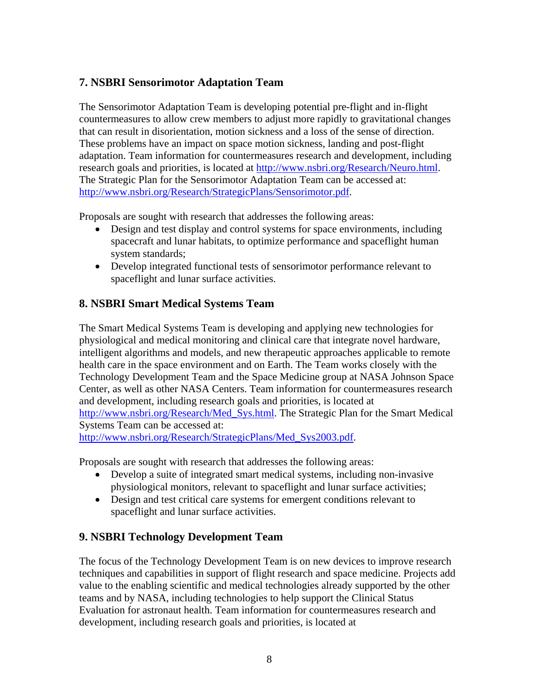### **7. NSBRI Sensorimotor Adaptation Team**

The Sensorimotor Adaptation Team is developing potential pre-flight and in-flight countermeasures to allow crew members to adjust more rapidly to gravitational changes that can result in disorientation, motion sickness and a loss of the sense of direction. These problems have an impact on space motion sickness, landing and post-flight adaptation. Team information for countermeasures research and development, including research goals and priorities, is located at [http://www.nsbri.org/Research/Neuro.html.](http://www.nsbri.org/Research/Neuro.html) The Strategic Plan for the Sensorimotor Adaptation Team can be accessed at: [http://www.nsbri.org/Research/StrategicPlans/Sensorimotor.pdf.](http://www.nsbri.org/Research/StrategicPlans/Sensorimotor.pdf)

Proposals are sought with research that addresses the following areas:

- Design and test display and control systems for space environments, including spacecraft and lunar habitats, to optimize performance and spaceflight human system standards;
- Develop integrated functional tests of sensorimotor performance relevant to spaceflight and lunar surface activities.

### **8. NSBRI Smart Medical Systems Team**

The Smart Medical Systems Team is developing and applying new technologies for physiological and medical monitoring and clinical care that integrate novel hardware, intelligent algorithms and models, and new therapeutic approaches applicable to remote health care in the space environment and on Earth. The Team works closely with the Technology Development Team and the Space Medicine group at NASA Johnson Space Center, as well as other NASA Centers. Team information for countermeasures research and development, including research goals and priorities, is located at [http://www.nsbri.org/Research/Med\\_Sys.html.](http://www.nsbri.org/Research/Med_Sys.html) The Strategic Plan for the Smart Medical Systems Team can be accessed at: [http://www.nsbri.org/Research/StrategicPlans/Med\\_Sys2003.pdf.](http://www.nsbri.org/Research/StrategicPlans/Med_Sys2003.pdf)

Proposals are sought with research that addresses the following areas:

- Develop a suite of integrated smart medical systems, including non-invasive physiological monitors, relevant to spaceflight and lunar surface activities;
- Design and test critical care systems for emergent conditions relevant to spaceflight and lunar surface activities.

### **9. NSBRI Technology Development Team**

The focus of the Technology Development Team is on new devices to improve research techniques and capabilities in support of flight research and space medicine. Projects add value to the enabling scientific and medical technologies already supported by the other teams and by NASA, including technologies to help support the Clinical Status Evaluation for astronaut health. Team information for countermeasures research and development, including research goals and priorities, is located at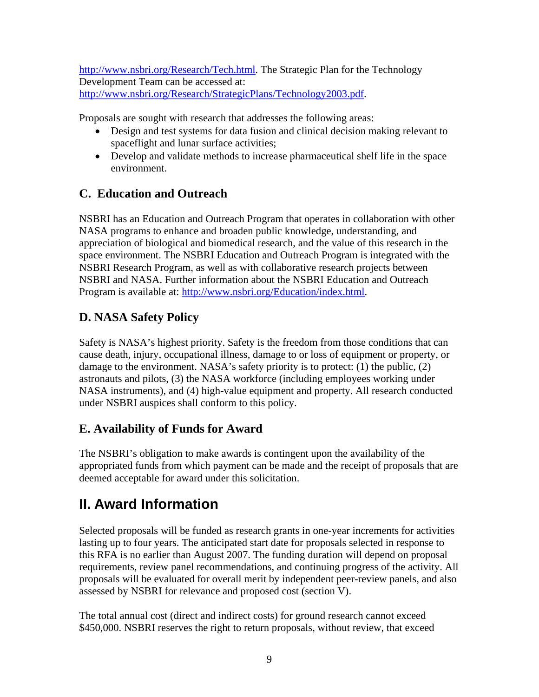<http://www.nsbri.org/Research/Tech.html>. The Strategic Plan for the Technology Development Team can be accessed at: [http://www.nsbri.org/Research/StrategicPlans/Technology2003.pdf.](http://www.nsbri.org/Research/StrategicPlans/Technology2003.pdf)

Proposals are sought with research that addresses the following areas:

- Design and test systems for data fusion and clinical decision making relevant to spaceflight and lunar surface activities;
- Develop and validate methods to increase pharmaceutical shelf life in the space environment.

# **C. Education and Outreach**

NSBRI has an Education and Outreach Program that operates in collaboration with other NASA programs to enhance and broaden public knowledge, understanding, and appreciation of biological and biomedical research, and the value of this research in the space environment. The NSBRI Education and Outreach Program is integrated with the NSBRI Research Program, as well as with collaborative research projects between NSBRI and NASA. Further information about the NSBRI Education and Outreach Program is available at:<http://www.nsbri.org/Education/index.html>.

# **D. NASA Safety Policy**

Safety is NASA's highest priority. Safety is the freedom from those conditions that can cause death, injury, occupational illness, damage to or loss of equipment or property, or damage to the environment. NASA's safety priority is to protect: (1) the public, (2) astronauts and pilots, (3) the NASA workforce (including employees working under NASA instruments), and (4) high-value equipment and property. All research conducted under NSBRI auspices shall conform to this policy.

# **E. Availability of Funds for Award**

The NSBRI's obligation to make awards is contingent upon the availability of the appropriated funds from which payment can be made and the receipt of proposals that are deemed acceptable for award under this solicitation.

# **II. Award Information**

Selected proposals will be funded as research grants in one-year increments for activities lasting up to four years. The anticipated start date for proposals selected in response to this RFA is no earlier than August 2007. The funding duration will depend on proposal requirements, review panel recommendations, and continuing progress of the activity. All proposals will be evaluated for overall merit by independent peer-review panels, and also assessed by NSBRI for relevance and proposed cost (section V).

The total annual cost (direct and indirect costs) for ground research cannot exceed \$450,000. NSBRI reserves the right to return proposals, without review, that exceed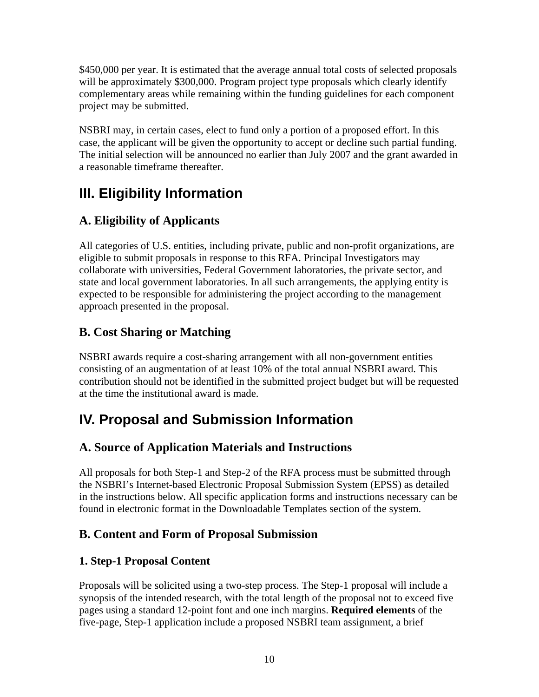\$450,000 per year. It is estimated that the average annual total costs of selected proposals will be approximately \$300,000. Program project type proposals which clearly identify complementary areas while remaining within the funding guidelines for each component project may be submitted.

NSBRI may, in certain cases, elect to fund only a portion of a proposed effort. In this case, the applicant will be given the opportunity to accept or decline such partial funding. The initial selection will be announced no earlier than July 2007 and the grant awarded in a reasonable timeframe thereafter.

# **III. Eligibility Information**

# **A. Eligibility of Applicants**

All categories of U.S. entities, including private, public and non-profit organizations, are eligible to submit proposals in response to this RFA. Principal Investigators may collaborate with universities, Federal Government laboratories, the private sector, and state and local government laboratories. In all such arrangements, the applying entity is expected to be responsible for administering the project according to the management approach presented in the proposal.

# **B. Cost Sharing or Matching**

NSBRI awards require a cost-sharing arrangement with all non-government entities consisting of an augmentation of at least 10% of the total annual NSBRI award. This contribution should not be identified in the submitted project budget but will be requested at the time the institutional award is made.

# **IV. Proposal and Submission Information**

# **A. Source of Application Materials and Instructions**

All proposals for both Step-1 and Step-2 of the RFA process must be submitted through the NSBRI's Internet-based Electronic Proposal Submission System (EPSS) as detailed in the instructions below. All specific application forms and instructions necessary can be found in electronic format in the Downloadable Templates section of the system.

## **B. Content and Form of Proposal Submission**

## **1. Step-1 Proposal Content**

Proposals will be solicited using a two-step process. The Step-1 proposal will include a synopsis of the intended research, with the total length of the proposal not to exceed five pages using a standard 12-point font and one inch margins. **Required elements** of the five-page, Step-1 application include a proposed NSBRI team assignment, a brief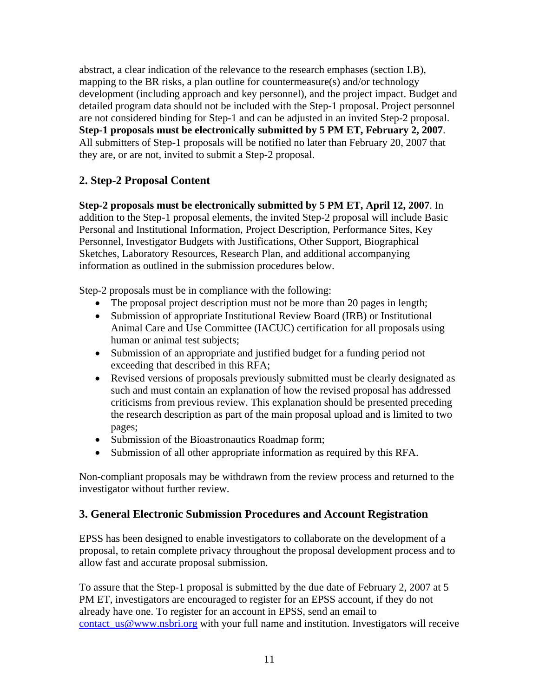abstract, a clear indication of the relevance to the research emphases (section I.B), mapping to the BR risks, a plan outline for countermeasure(s) and/or technology development (including approach and key personnel), and the project impact. Budget and detailed program data should not be included with the Step-1 proposal. Project personnel are not considered binding for Step-1 and can be adjusted in an invited Step-2 proposal. **Step-1 proposals must be electronically submitted by 5 PM ET, February 2, 2007**. All submitters of Step-1 proposals will be notified no later than February 20, 2007 that they are, or are not, invited to submit a Step-2 proposal.

### **2. Step-2 Proposal Content**

**Step-2 proposals must be electronically submitted by 5 PM ET, April 12, 2007**. In addition to the Step-1 proposal elements, the invited Step-2 proposal will include Basic Personal and Institutional Information, Project Description, Performance Sites, Key Personnel, Investigator Budgets with Justifications, Other Support, Biographical Sketches, Laboratory Resources, Research Plan, and additional accompanying information as outlined in the submission procedures below.

Step-2 proposals must be in compliance with the following:

- The proposal project description must not be more than 20 pages in length;
- Submission of appropriate Institutional Review Board (IRB) or Institutional Animal Care and Use Committee (IACUC) certification for all proposals using human or animal test subjects;
- Submission of an appropriate and justified budget for a funding period not exceeding that described in this RFA;
- Revised versions of proposals previously submitted must be clearly designated as such and must contain an explanation of how the revised proposal has addressed criticisms from previous review. This explanation should be presented preceding the research description as part of the main proposal upload and is limited to two pages;
- Submission of the Bioastronautics Roadmap form;
- Submission of all other appropriate information as required by this RFA.

Non-compliant proposals may be withdrawn from the review process and returned to the investigator without further review.

### **3. General Electronic Submission Procedures and Account Registration**

EPSS has been designed to enable investigators to collaborate on the development of a proposal, to retain complete privacy throughout the proposal development process and to allow fast and accurate proposal submission.

To assure that the Step-1 proposal is submitted by the due date of February 2, 2007 at 5 PM ET, investigators are encouraged to register for an EPSS account, if they do not already have one. To register for an account in EPSS, send an email to [contact\\_us@www.nsbri.org](mailto:contact_us@www.nsbri.org) with your full name and institution. Investigators will receive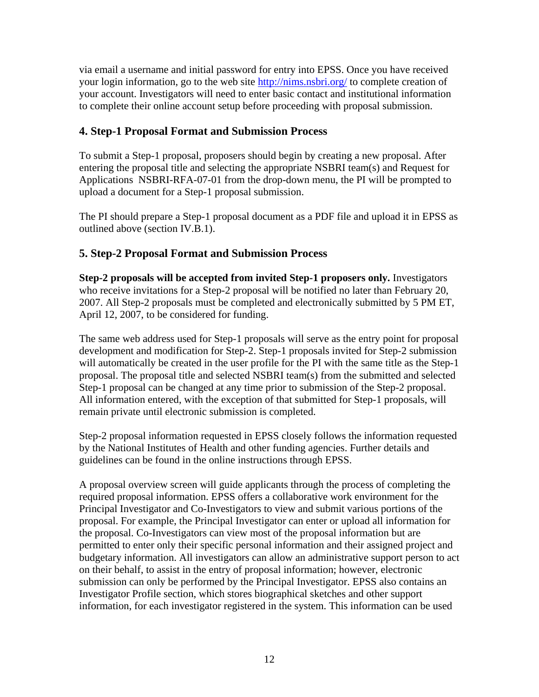via email a username and initial password for entry into EPSS. Once you have received your login information, go to the web site<http://nims.nsbri.org/>to complete creation of your account. Investigators will need to enter basic contact and institutional information to complete their online account setup before proceeding with proposal submission.

#### **4. Step-1 Proposal Format and Submission Process**

To submit a Step-1 proposal, proposers should begin by creating a new proposal. After entering the proposal title and selecting the appropriate NSBRI team(s) and Request for Applications NSBRI-RFA-07-01 from the drop-down menu, the PI will be prompted to upload a document for a Step-1 proposal submission.

The PI should prepare a Step-1 proposal document as a PDF file and upload it in EPSS as outlined above (section IV.B.1).

#### **5. Step-2 Proposal Format and Submission Process**

**Step-2 proposals will be accepted from invited Step-1 proposers only.** Investigators who receive invitations for a Step-2 proposal will be notified no later than February 20, 2007. All Step-2 proposals must be completed and electronically submitted by 5 PM ET, April 12, 2007, to be considered for funding.

The same web address used for Step-1 proposals will serve as the entry point for proposal development and modification for Step-2. Step-1 proposals invited for Step-2 submission will automatically be created in the user profile for the PI with the same title as the Step-1 proposal. The proposal title and selected NSBRI team(s) from the submitted and selected Step-1 proposal can be changed at any time prior to submission of the Step-2 proposal. All information entered, with the exception of that submitted for Step-1 proposals, will remain private until electronic submission is completed.

Step-2 proposal information requested in EPSS closely follows the information requested by the National Institutes of Health and other funding agencies. Further details and guidelines can be found in the online instructions through EPSS.

A proposal overview screen will guide applicants through the process of completing the required proposal information. EPSS offers a collaborative work environment for the Principal Investigator and Co-Investigators to view and submit various portions of the proposal. For example, the Principal Investigator can enter or upload all information for the proposal. Co-Investigators can view most of the proposal information but are permitted to enter only their specific personal information and their assigned project and budgetary information. All investigators can allow an administrative support person to act on their behalf, to assist in the entry of proposal information; however, electronic submission can only be performed by the Principal Investigator. EPSS also contains an Investigator Profile section, which stores biographical sketches and other support information, for each investigator registered in the system. This information can be used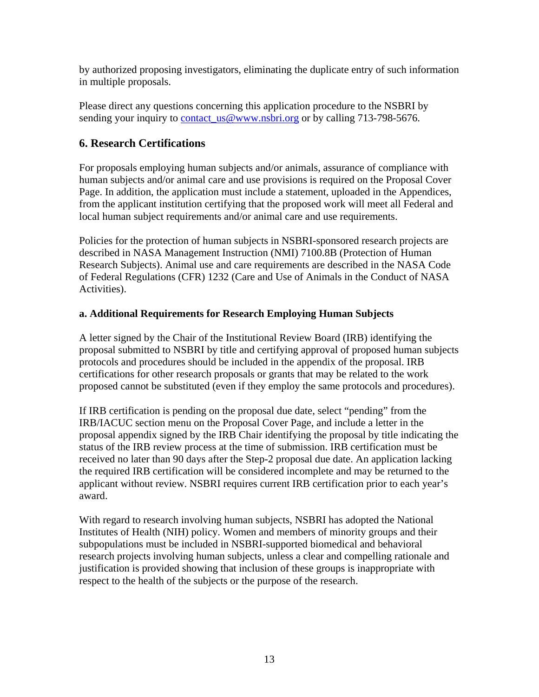by authorized proposing investigators, eliminating the duplicate entry of such information in multiple proposals.

Please direct any questions concerning this application procedure to the NSBRI by sending your inquiry to contact us@www.nsbri.org or by calling 713-798-5676.

### **6. Research Certifications**

For proposals employing human subjects and/or animals, assurance of compliance with human subjects and/or animal care and use provisions is required on the Proposal Cover Page. In addition, the application must include a statement, uploaded in the Appendices, from the applicant institution certifying that the proposed work will meet all Federal and local human subject requirements and/or animal care and use requirements.

Policies for the protection of human subjects in NSBRI-sponsored research projects are described in NASA Management Instruction (NMI) 7100.8B (Protection of Human Research Subjects). Animal use and care requirements are described in the NASA Code of Federal Regulations (CFR) 1232 (Care and Use of Animals in the Conduct of NASA Activities).

#### **a. Additional Requirements for Research Employing Human Subjects**

A letter signed by the Chair of the Institutional Review Board (IRB) identifying the proposal submitted to NSBRI by title and certifying approval of proposed human subjects protocols and procedures should be included in the appendix of the proposal. IRB certifications for other research proposals or grants that may be related to the work proposed cannot be substituted (even if they employ the same protocols and procedures).

If IRB certification is pending on the proposal due date, select "pending" from the IRB/IACUC section menu on the Proposal Cover Page, and include a letter in the proposal appendix signed by the IRB Chair identifying the proposal by title indicating the status of the IRB review process at the time of submission. IRB certification must be received no later than 90 days after the Step-2 proposal due date. An application lacking the required IRB certification will be considered incomplete and may be returned to the applicant without review. NSBRI requires current IRB certification prior to each year's award.

With regard to research involving human subjects, NSBRI has adopted the National Institutes of Health (NIH) policy. Women and members of minority groups and their subpopulations must be included in NSBRI-supported biomedical and behavioral research projects involving human subjects, unless a clear and compelling rationale and justification is provided showing that inclusion of these groups is inappropriate with respect to the health of the subjects or the purpose of the research.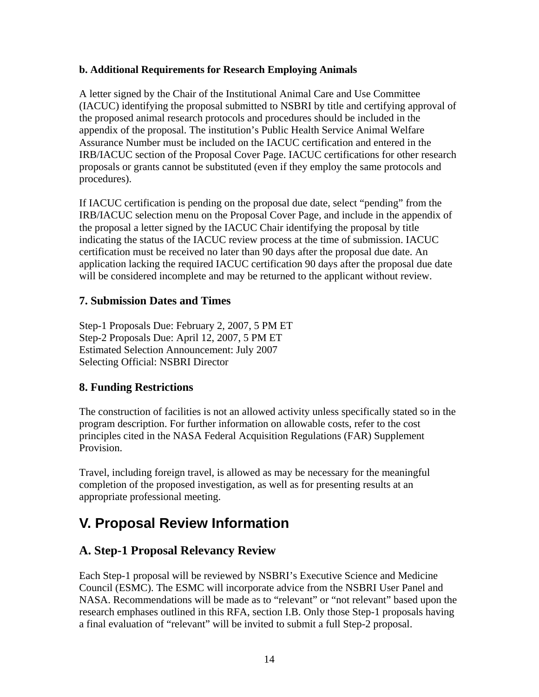#### **b. Additional Requirements for Research Employing Animals**

A letter signed by the Chair of the Institutional Animal Care and Use Committee (IACUC) identifying the proposal submitted to NSBRI by title and certifying approval of the proposed animal research protocols and procedures should be included in the appendix of the proposal. The institution's Public Health Service Animal Welfare Assurance Number must be included on the IACUC certification and entered in the IRB/IACUC section of the Proposal Cover Page. IACUC certifications for other research proposals or grants cannot be substituted (even if they employ the same protocols and procedures).

If IACUC certification is pending on the proposal due date, select "pending" from the IRB/IACUC selection menu on the Proposal Cover Page, and include in the appendix of the proposal a letter signed by the IACUC Chair identifying the proposal by title indicating the status of the IACUC review process at the time of submission. IACUC certification must be received no later than 90 days after the proposal due date. An application lacking the required IACUC certification 90 days after the proposal due date will be considered incomplete and may be returned to the applicant without review.

#### **7. Submission Dates and Times**

Step-1 Proposals Due: February 2, 2007, 5 PM ET Step-2 Proposals Due: April 12, 2007, 5 PM ET Estimated Selection Announcement: July 2007 Selecting Official: NSBRI Director

### **8. Funding Restrictions**

The construction of facilities is not an allowed activity unless specifically stated so in the program description. For further information on allowable costs, refer to the cost principles cited in the NASA Federal Acquisition Regulations (FAR) Supplement Provision.

Travel, including foreign travel, is allowed as may be necessary for the meaningful completion of the proposed investigation, as well as for presenting results at an appropriate professional meeting.

# **V. Proposal Review Information**

### **A. Step-1 Proposal Relevancy Review**

Each Step-1 proposal will be reviewed by NSBRI's Executive Science and Medicine Council (ESMC). The ESMC will incorporate advice from the NSBRI User Panel and NASA. Recommendations will be made as to "relevant" or "not relevant" based upon the research emphases outlined in this RFA, section I.B. Only those Step-1 proposals having a final evaluation of "relevant" will be invited to submit a full Step-2 proposal.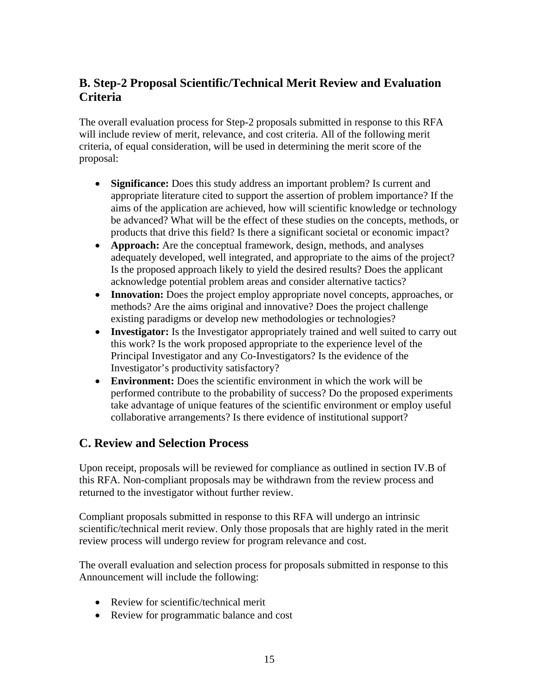## **B. Step-2 Proposal Scientific/Technical Merit Review and Evaluation Criteria**

The overall evaluation process for Step-2 proposals submitted in response to this RFA will include review of merit, relevance, and cost criteria. All of the following merit criteria, of equal consideration, will be used in determining the merit score of the proposal:

- **Significance:** Does this study address an important problem? Is current and appropriate literature cited to support the assertion of problem importance? If the aims of the application are achieved, how will scientific knowledge or technology be advanced? What will be the effect of these studies on the concepts, methods, or products that drive this field? Is there a significant societal or economic impact?
- **Approach:** Are the conceptual framework, design, methods, and analyses adequately developed, well integrated, and appropriate to the aims of the project? Is the proposed approach likely to yield the desired results? Does the applicant acknowledge potential problem areas and consider alternative tactics?
- **Innovation:** Does the project employ appropriate novel concepts, approaches, or methods? Are the aims original and innovative? Does the project challenge existing paradigms or develop new methodologies or technologies?
- **Investigator:** Is the Investigator appropriately trained and well suited to carry out this work? Is the work proposed appropriate to the experience level of the Principal Investigator and any Co-Investigators? Is the evidence of the Investigator's productivity satisfactory?
- **Environment:** Does the scientific environment in which the work will be performed contribute to the probability of success? Do the proposed experiments take advantage of unique features of the scientific environment or employ useful collaborative arrangements? Is there evidence of institutional support?

## **C. Review and Selection Process**

Upon receipt, proposals will be reviewed for compliance as outlined in section IV.B of this RFA. Non-compliant proposals may be withdrawn from the review process and returned to the investigator without further review.

Compliant proposals submitted in response to this RFA will undergo an intrinsic scientific/technical merit review. Only those proposals that are highly rated in the merit review process will undergo review for program relevance and cost.

The overall evaluation and selection process for proposals submitted in response to this Announcement will include the following:

- Review for scientific/technical merit
- Review for programmatic balance and cost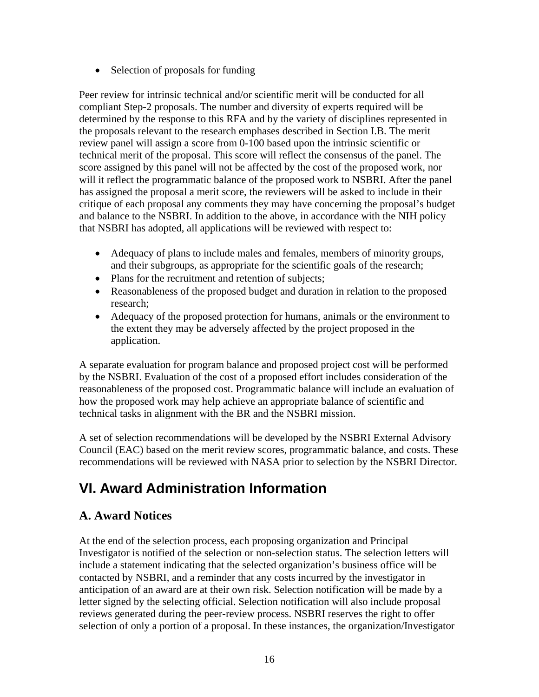• Selection of proposals for funding

Peer review for intrinsic technical and/or scientific merit will be conducted for all compliant Step-2 proposals. The number and diversity of experts required will be determined by the response to this RFA and by the variety of disciplines represented in the proposals relevant to the research emphases described in Section I.B. The merit review panel will assign a score from 0-100 based upon the intrinsic scientific or technical merit of the proposal. This score will reflect the consensus of the panel. The score assigned by this panel will not be affected by the cost of the proposed work, nor will it reflect the programmatic balance of the proposed work to NSBRI. After the panel has assigned the proposal a merit score, the reviewers will be asked to include in their critique of each proposal any comments they may have concerning the proposal's budget and balance to the NSBRI. In addition to the above, in accordance with the NIH policy that NSBRI has adopted, all applications will be reviewed with respect to:

- Adequacy of plans to include males and females, members of minority groups, and their subgroups, as appropriate for the scientific goals of the research;
- Plans for the recruitment and retention of subjects;
- Reasonableness of the proposed budget and duration in relation to the proposed research;
- Adequacy of the proposed protection for humans, animals or the environment to the extent they may be adversely affected by the project proposed in the application.

A separate evaluation for program balance and proposed project cost will be performed by the NSBRI. Evaluation of the cost of a proposed effort includes consideration of the reasonableness of the proposed cost. Programmatic balance will include an evaluation of how the proposed work may help achieve an appropriate balance of scientific and technical tasks in alignment with the BR and the NSBRI mission.

A set of selection recommendations will be developed by the NSBRI External Advisory Council (EAC) based on the merit review scores, programmatic balance, and costs. These recommendations will be reviewed with NASA prior to selection by the NSBRI Director.

# **VI. Award Administration Information**

## **A. Award Notices**

At the end of the selection process, each proposing organization and Principal Investigator is notified of the selection or non-selection status. The selection letters will include a statement indicating that the selected organization's business office will be contacted by NSBRI, and a reminder that any costs incurred by the investigator in anticipation of an award are at their own risk. Selection notification will be made by a letter signed by the selecting official. Selection notification will also include proposal reviews generated during the peer-review process. NSBRI reserves the right to offer selection of only a portion of a proposal. In these instances, the organization/Investigator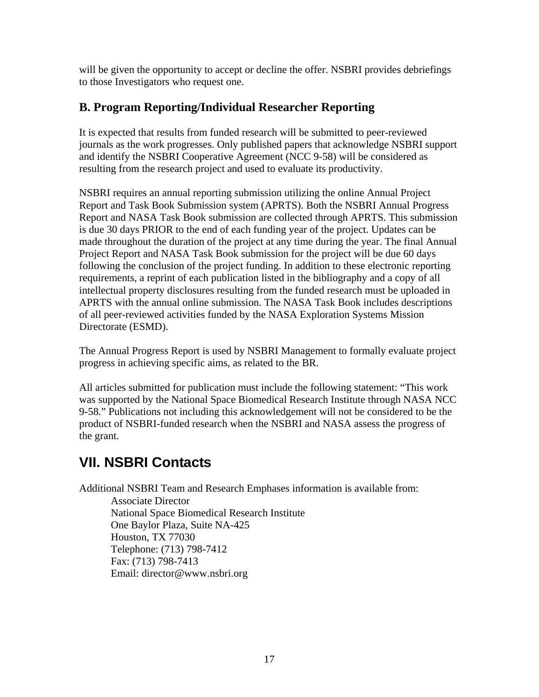will be given the opportunity to accept or decline the offer. NSBRI provides debriefings to those Investigators who request one.

### **B. Program Reporting/Individual Researcher Reporting**

It is expected that results from funded research will be submitted to peer-reviewed journals as the work progresses. Only published papers that acknowledge NSBRI support and identify the NSBRI Cooperative Agreement (NCC 9-58) will be considered as resulting from the research project and used to evaluate its productivity.

NSBRI requires an annual reporting submission utilizing the online Annual Project Report and Task Book Submission system (APRTS). Both the NSBRI Annual Progress Report and NASA Task Book submission are collected through APRTS. This submission is due 30 days PRIOR to the end of each funding year of the project. Updates can be made throughout the duration of the project at any time during the year. The final Annual Project Report and NASA Task Book submission for the project will be due 60 days following the conclusion of the project funding. In addition to these electronic reporting requirements, a reprint of each publication listed in the bibliography and a copy of all intellectual property disclosures resulting from the funded research must be uploaded in APRTS with the annual online submission. The NASA Task Book includes descriptions of all peer-reviewed activities funded by the NASA Exploration Systems Mission Directorate (ESMD).

The Annual Progress Report is used by NSBRI Management to formally evaluate project progress in achieving specific aims, as related to the BR.

All articles submitted for publication must include the following statement: "This work was supported by the National Space Biomedical Research Institute through NASA NCC 9-58." Publications not including this acknowledgement will not be considered to be the product of NSBRI-funded research when the NSBRI and NASA assess the progress of the grant.

# **VII. NSBRI Contacts**

Additional NSBRI Team and Research Emphases information is available from:

Associate Director National Space Biomedical Research Institute One Baylor Plaza, Suite NA-425 Houston, TX 77030 Telephone: (713) 798-7412 Fax: (713) 798-7413 Email: [director@www.nsbri.org](mailto:director@www.nsbri.org)